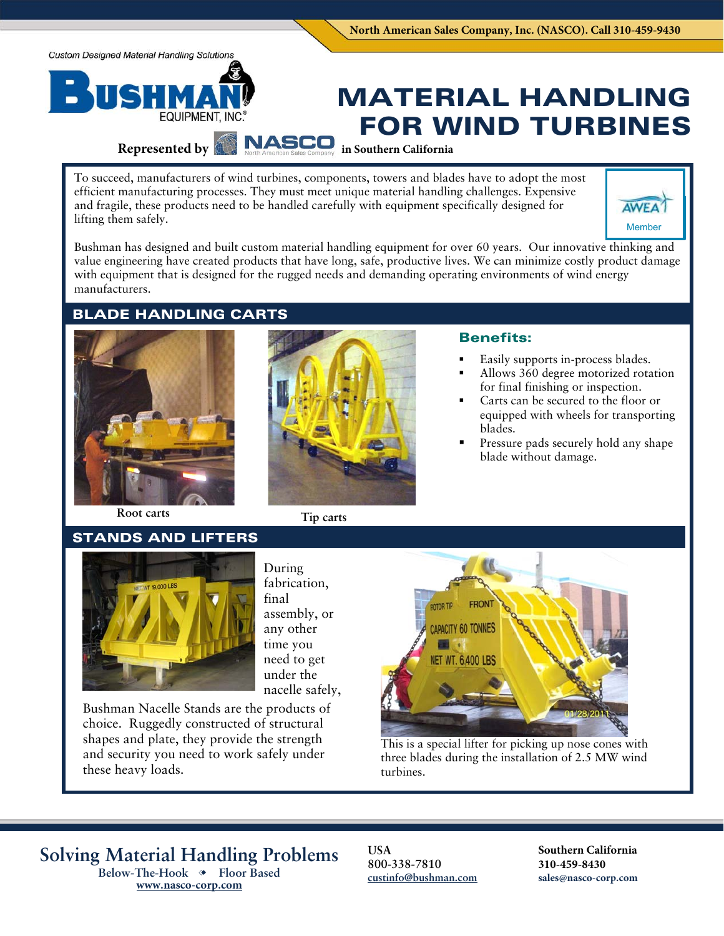**Custom Designed Material Handling Solutions** 

# **EQUIPMENT, INC.**

# MATERIAL HANDLING FOR WIND TURBINES

## **Represented by NASCO**

To succeed, manufacturers of wind turbines, components, towers and blades have to adopt the most efficient manufacturing processes. They must meet unique material handling challenges. Expensive and fragile, these products need to be handled carefully with equipment specifically designed for lifting them safely.



Bushman has designed and built custom material handling equipment for over 60 years. Our innovative thinking and value engineering have created products that have long, safe, productive lives. We can minimize costly product damage with equipment that is designed for the rugged needs and demanding operating environments of wind energy manufacturers.

**in Southern California**

## BLADE HANDLING CARTS





#### Benefits:

- Easily supports in-process blades.
- Allows 360 degree motorized rotation for final finishing or inspection.
- Carts can be secured to the floor or equipped with wheels for transporting blades.
- Pressure pads securely hold any shape blade without damage.

 **Root carts Tip carts** 

### STANDS AND LIFTERS



During fabrication, final assembly, or any other time you need to get under the nacelle safely,

Bushman Nacelle Stands are the products of choice. Ruggedly constructed of structural shapes and plate, they provide the strength and security you need to work safely under these heavy loads.



This is a special lifter for picking up nose cones with three blades during the installation of 2.5 MW wind turbines.

**Solving Material Handling Problems Below-The-Hook Floor Based** 

**www.nasco-corp.com**

**USA 800-338-7810 custinfo@bushman.com**  **Southern California 310-459-8430 sales@nasco-corp.com**